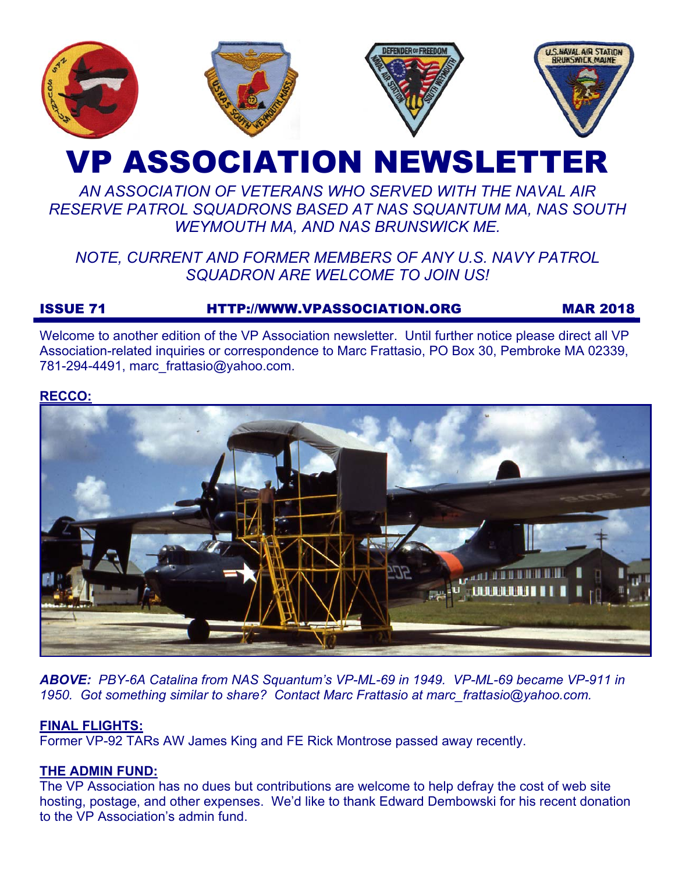

# VP ASSOCIATION NEWSLETTER

# *AN ASSOCIATION OF VETERANS WHO SERVED WITH THE NAVAL AIR RESERVE PATROL SQUADRONS BASED AT NAS SQUANTUM MA, NAS SOUTH WEYMOUTH MA, AND NAS BRUNSWICK ME.*

# *NOTE, CURRENT AND FORMER MEMBERS OF ANY U.S. NAVY PATROL SQUADRON ARE WELCOME TO JOIN US!*

## ISSUE 71 HTTP://WWW.VPASSOCIATION.ORG MAR 2018

Welcome to another edition of the VP Association newsletter. Until further notice please direct all VP Association-related inquiries or correspondence to Marc Frattasio, PO Box 30, Pembroke MA 02339, 781-294-4491, marc\_frattasio@yahoo.com.

#### **RECCO:**



*ABOVE: PBY-6A Catalina from NAS Squantum's VP-ML-69 in 1949. VP-ML-69 became VP-911 in 1950. Got something similar to share? Contact Marc Frattasio at marc\_frattasio@yahoo.com.* 

#### **FINAL FLIGHTS:**

Former VP-92 TARs AW James King and FE Rick Montrose passed away recently.

#### **THE ADMIN FUND:**

The VP Association has no dues but contributions are welcome to help defray the cost of web site hosting, postage, and other expenses. We'd like to thank Edward Dembowski for his recent donation to the VP Association's admin fund.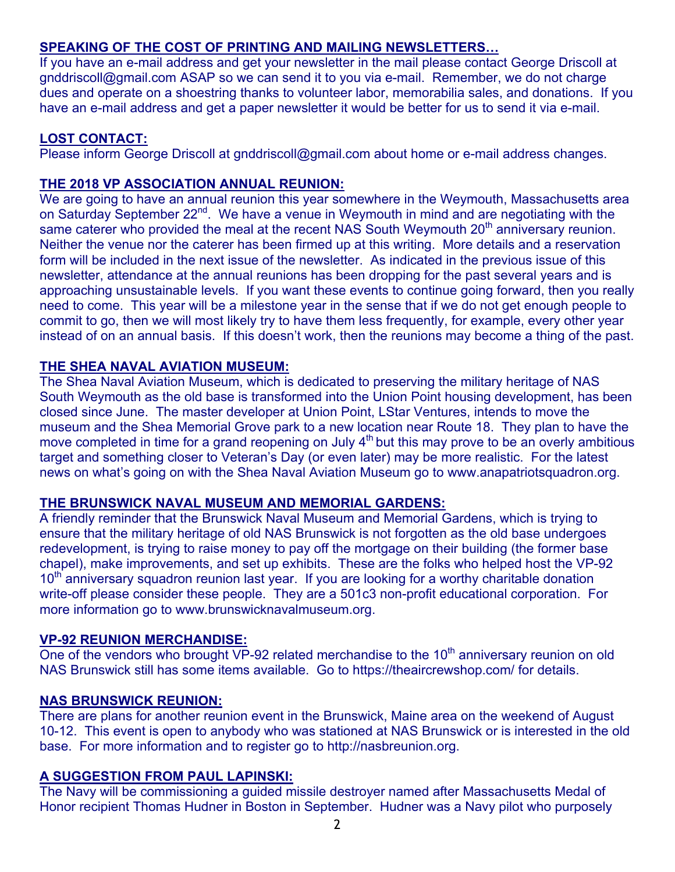### **SPEAKING OF THE COST OF PRINTING AND MAILING NEWSLETTERS…**

If you have an e-mail address and get your newsletter in the mail please contact George Driscoll at gnddriscoll@gmail.com ASAP so we can send it to you via e-mail. Remember, we do not charge dues and operate on a shoestring thanks to volunteer labor, memorabilia sales, and donations. If you have an e-mail address and get a paper newsletter it would be better for us to send it via e-mail.

### **LOST CONTACT:**

Please inform George Driscoll at gnddriscoll@gmail.com about home or e-mail address changes.

#### **THE 2018 VP ASSOCIATION ANNUAL REUNION:**

We are going to have an annual reunion this year somewhere in the Weymouth, Massachusetts area on Saturday September 22<sup>nd</sup>. We have a venue in Weymouth in mind and are negotiating with the same caterer who provided the meal at the recent NAS South Weymouth 20<sup>th</sup> anniversary reunion. Neither the venue nor the caterer has been firmed up at this writing. More details and a reservation form will be included in the next issue of the newsletter. As indicated in the previous issue of this newsletter, attendance at the annual reunions has been dropping for the past several years and is approaching unsustainable levels. If you want these events to continue going forward, then you really need to come. This year will be a milestone year in the sense that if we do not get enough people to commit to go, then we will most likely try to have them less frequently, for example, every other year instead of on an annual basis. If this doesn't work, then the reunions may become a thing of the past.

#### **THE SHEA NAVAL AVIATION MUSEUM:**

The Shea Naval Aviation Museum, which is dedicated to preserving the military heritage of NAS South Weymouth as the old base is transformed into the Union Point housing development, has been closed since June. The master developer at Union Point, LStar Ventures, intends to move the museum and the Shea Memorial Grove park to a new location near Route 18. They plan to have the move completed in time for a grand reopening on July  $4<sup>th</sup>$  but this may prove to be an overly ambitious target and something closer to Veteran's Day (or even later) may be more realistic. For the latest news on what's going on with the Shea Naval Aviation Museum go to www.anapatriotsquadron.org.

#### **THE BRUNSWICK NAVAL MUSEUM AND MEMORIAL GARDENS:**

A friendly reminder that the Brunswick Naval Museum and Memorial Gardens, which is trying to ensure that the military heritage of old NAS Brunswick is not forgotten as the old base undergoes redevelopment, is trying to raise money to pay off the mortgage on their building (the former base chapel), make improvements, and set up exhibits. These are the folks who helped host the VP-92 10<sup>th</sup> anniversary squadron reunion last year. If you are looking for a worthy charitable donation write-off please consider these people. They are a 501c3 non-profit educational corporation. For more information go to www.brunswicknavalmuseum.org.

#### **VP-92 REUNION MERCHANDISE:**

One of the vendors who brought  $VP-92$  related merchandise to the  $10<sup>th</sup>$  anniversary reunion on old NAS Brunswick still has some items available. Go to https://theaircrewshop.com/ for details.

#### **NAS BRUNSWICK REUNION:**

There are plans for another reunion event in the Brunswick, Maine area on the weekend of August 10-12. This event is open to anybody who was stationed at NAS Brunswick or is interested in the old base. For more information and to register go to http://nasbreunion.org.

#### **A SUGGESTION FROM PAUL LAPINSKI:**

The Navy will be commissioning a guided missile destroyer named after Massachusetts Medal of Honor recipient Thomas Hudner in Boston in September. Hudner was a Navy pilot who purposely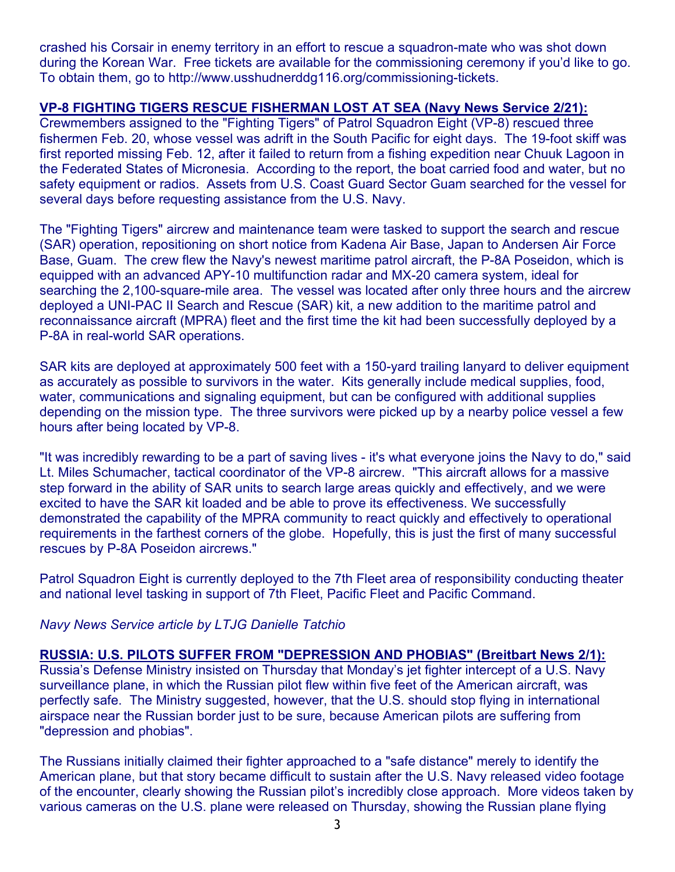crashed his Corsair in enemy territory in an effort to rescue a squadron-mate who was shot down during the Korean War. Free tickets are available for the commissioning ceremony if you'd like to go. To obtain them, go to http://www.usshudnerddg116.org/commissioning-tickets.

#### **VP-8 FIGHTING TIGERS RESCUE FISHERMAN LOST AT SEA (Navy News Service 2/21):**

Crewmembers assigned to the "Fighting Tigers" of Patrol Squadron Eight (VP-8) rescued three fishermen Feb. 20, whose vessel was adrift in the South Pacific for eight days. The 19-foot skiff was first reported missing Feb. 12, after it failed to return from a fishing expedition near Chuuk Lagoon in the Federated States of Micronesia. According to the report, the boat carried food and water, but no safety equipment or radios. Assets from U.S. Coast Guard Sector Guam searched for the vessel for several days before requesting assistance from the U.S. Navy.

The "Fighting Tigers" aircrew and maintenance team were tasked to support the search and rescue (SAR) operation, repositioning on short notice from Kadena Air Base, Japan to Andersen Air Force Base, Guam. The crew flew the Navy's newest maritime patrol aircraft, the P-8A Poseidon, which is equipped with an advanced APY-10 multifunction radar and MX-20 camera system, ideal for searching the 2,100-square-mile area. The vessel was located after only three hours and the aircrew deployed a UNI-PAC II Search and Rescue (SAR) kit, a new addition to the maritime patrol and reconnaissance aircraft (MPRA) fleet and the first time the kit had been successfully deployed by a P-8A in real-world SAR operations.

SAR kits are deployed at approximately 500 feet with a 150-yard trailing lanyard to deliver equipment as accurately as possible to survivors in the water. Kits generally include medical supplies, food, water, communications and signaling equipment, but can be configured with additional supplies depending on the mission type. The three survivors were picked up by a nearby police vessel a few hours after being located by VP-8.

"It was incredibly rewarding to be a part of saving lives - it's what everyone joins the Navy to do," said Lt. Miles Schumacher, tactical coordinator of the VP-8 aircrew. "This aircraft allows for a massive step forward in the ability of SAR units to search large areas quickly and effectively, and we were excited to have the SAR kit loaded and be able to prove its effectiveness. We successfully demonstrated the capability of the MPRA community to react quickly and effectively to operational requirements in the farthest corners of the globe. Hopefully, this is just the first of many successful rescues by P-8A Poseidon aircrews."

Patrol Squadron Eight is currently deployed to the 7th Fleet area of responsibility conducting theater and national level tasking in support of 7th Fleet, Pacific Fleet and Pacific Command.

#### *Navy News Service article by LTJG Danielle Tatchio*

**RUSSIA: U.S. PILOTS SUFFER FROM "DEPRESSION AND PHOBIAS" (Breitbart News 2/1):** Russia's Defense Ministry insisted on Thursday that Monday's jet fighter intercept of a U.S. Navy surveillance plane, in which the Russian pilot flew within five feet of the American aircraft, was perfectly safe. The Ministry suggested, however, that the U.S. should stop flying in international airspace near the Russian border just to be sure, because American pilots are suffering from "depression and phobias".

The Russians initially claimed their fighter approached to a "safe distance" merely to identify the American plane, but that story became difficult to sustain after the U.S. Navy released video footage of the encounter, clearly showing the Russian pilot's incredibly close approach. More videos taken by various cameras on the U.S. plane were released on Thursday, showing the Russian plane flying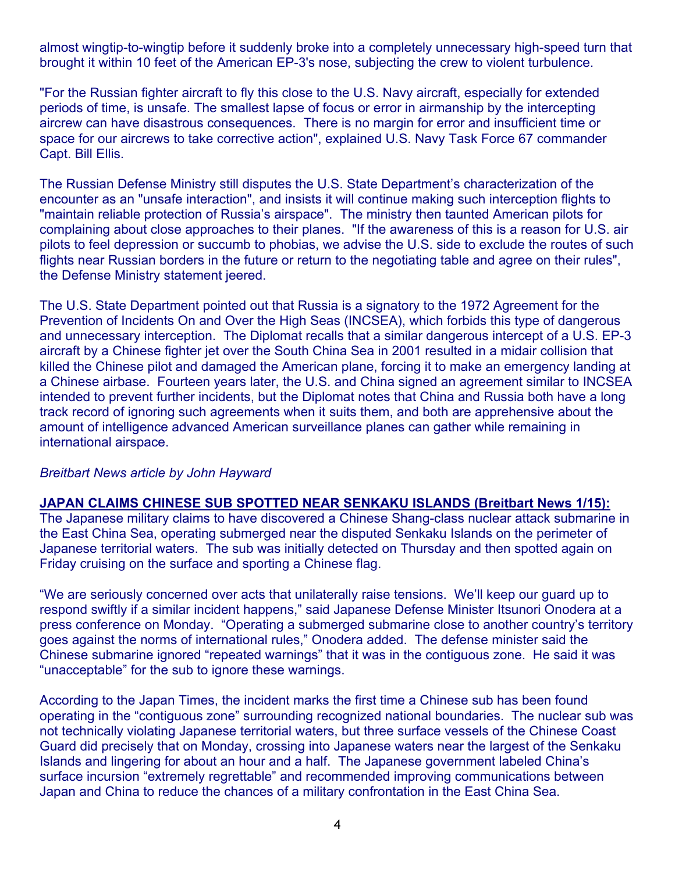almost wingtip-to-wingtip before it suddenly broke into a completely unnecessary high-speed turn that brought it within 10 feet of the American EP-3's nose, subjecting the crew to violent turbulence.

"For the Russian fighter aircraft to fly this close to the U.S. Navy aircraft, especially for extended periods of time, is unsafe. The smallest lapse of focus or error in airmanship by the intercepting aircrew can have disastrous consequences. There is no margin for error and insufficient time or space for our aircrews to take corrective action", explained U.S. Navy Task Force 67 commander Capt. Bill Ellis.

The Russian Defense Ministry still disputes the U.S. State Department's characterization of the encounter as an "unsafe interaction", and insists it will continue making such interception flights to "maintain reliable protection of Russia's airspace". The ministry then taunted American pilots for complaining about close approaches to their planes. "If the awareness of this is a reason for U.S. air pilots to feel depression or succumb to phobias, we advise the U.S. side to exclude the routes of such flights near Russian borders in the future or return to the negotiating table and agree on their rules", the Defense Ministry statement jeered.

The U.S. State Department pointed out that Russia is a signatory to the 1972 Agreement for the Prevention of Incidents On and Over the High Seas (INCSEA), which forbids this type of dangerous and unnecessary interception. The Diplomat recalls that a similar dangerous intercept of a U.S. EP-3 aircraft by a Chinese fighter jet over the South China Sea in 2001 resulted in a midair collision that killed the Chinese pilot and damaged the American plane, forcing it to make an emergency landing at a Chinese airbase. Fourteen years later, the U.S. and China signed an agreement similar to INCSEA intended to prevent further incidents, but the Diplomat notes that China and Russia both have a long track record of ignoring such agreements when it suits them, and both are apprehensive about the amount of intelligence advanced American surveillance planes can gather while remaining in international airspace.

#### *Breitbart News article by John Hayward*

#### **JAPAN CLAIMS CHINESE SUB SPOTTED NEAR SENKAKU ISLANDS (Breitbart News 1/15):**

The Japanese military claims to have discovered a Chinese Shang-class nuclear attack submarine in the East China Sea, operating submerged near the disputed Senkaku Islands on the perimeter of Japanese territorial waters. The sub was initially detected on Thursday and then spotted again on Friday cruising on the surface and sporting a Chinese flag.

"We are seriously concerned over acts that unilaterally raise tensions. We'll keep our guard up to respond swiftly if a similar incident happens," said Japanese Defense Minister Itsunori Onodera at a press conference on Monday. "Operating a submerged submarine close to another country's territory goes against the norms of international rules," Onodera added. The defense minister said the Chinese submarine ignored "repeated warnings" that it was in the contiguous zone. He said it was "unacceptable" for the sub to ignore these warnings.

According to the Japan Times, the incident marks the first time a Chinese sub has been found operating in the "contiguous zone" surrounding recognized national boundaries. The nuclear sub was not technically violating Japanese territorial waters, but three surface vessels of the Chinese Coast Guard did precisely that on Monday, crossing into Japanese waters near the largest of the Senkaku Islands and lingering for about an hour and a half. The Japanese government labeled China's surface incursion "extremely regrettable" and recommended improving communications between Japan and China to reduce the chances of a military confrontation in the East China Sea.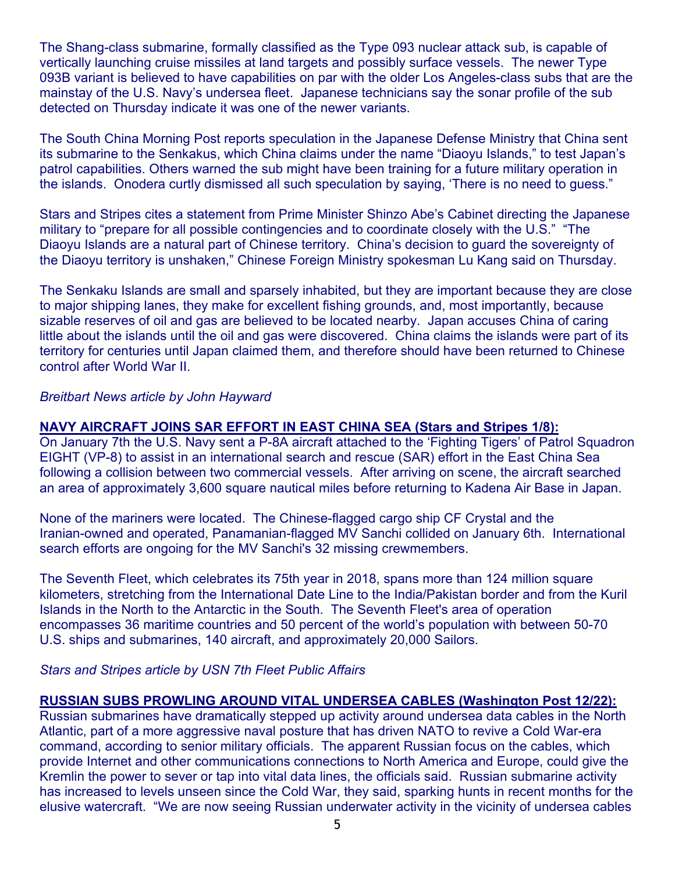The Shang-class submarine, formally classified as the Type 093 nuclear attack sub, is capable of vertically launching cruise missiles at land targets and possibly surface vessels. The newer Type 093B variant is believed to have capabilities on par with the older Los Angeles-class subs that are the mainstay of the U.S. Navy's undersea fleet. Japanese technicians say the sonar profile of the sub detected on Thursday indicate it was one of the newer variants.

The South China Morning Post reports speculation in the Japanese Defense Ministry that China sent its submarine to the Senkakus, which China claims under the name "Diaoyu Islands," to test Japan's patrol capabilities. Others warned the sub might have been training for a future military operation in the islands. Onodera curtly dismissed all such speculation by saying, 'There is no need to guess."

Stars and Stripes cites a statement from Prime Minister Shinzo Abe's Cabinet directing the Japanese military to "prepare for all possible contingencies and to coordinate closely with the U.S." "The Diaoyu Islands are a natural part of Chinese territory. China's decision to guard the sovereignty of the Diaoyu territory is unshaken," Chinese Foreign Ministry spokesman Lu Kang said on Thursday.

The Senkaku Islands are small and sparsely inhabited, but they are important because they are close to major shipping lanes, they make for excellent fishing grounds, and, most importantly, because sizable reserves of oil and gas are believed to be located nearby. Japan accuses China of caring little about the islands until the oil and gas were discovered. China claims the islands were part of its territory for centuries until Japan claimed them, and therefore should have been returned to Chinese control after World War II.

#### *Breitbart News article by John Hayward*

#### **NAVY AIRCRAFT JOINS SAR EFFORT IN EAST CHINA SEA (Stars and Stripes 1/8):**

On January 7th the U.S. Navy sent a P-8A aircraft attached to the 'Fighting Tigers' of Patrol Squadron EIGHT (VP-8) to assist in an international search and rescue (SAR) effort in the East China Sea following a collision between two commercial vessels. After arriving on scene, the aircraft searched an area of approximately 3,600 square nautical miles before returning to Kadena Air Base in Japan.

None of the mariners were located. The Chinese-flagged cargo ship CF Crystal and the Iranian-owned and operated, Panamanian-flagged MV Sanchi collided on January 6th. International search efforts are ongoing for the MV Sanchi's 32 missing crewmembers.

The Seventh Fleet, which celebrates its 75th year in 2018, spans more than 124 million square kilometers, stretching from the International Date Line to the India/Pakistan border and from the Kuril Islands in the North to the Antarctic in the South. The Seventh Fleet's area of operation encompasses 36 maritime countries and 50 percent of the world's population with between 50-70 U.S. ships and submarines, 140 aircraft, and approximately 20,000 Sailors.

#### *Stars and Stripes article by USN 7th Fleet Public Affairs*

#### **RUSSIAN SUBS PROWLING AROUND VITAL UNDERSEA CABLES (Washington Post 12/22):**

Russian submarines have dramatically stepped up activity around undersea data cables in the North Atlantic, part of a more aggressive naval posture that has driven NATO to revive a Cold War-era command, according to senior military officials. The apparent Russian focus on the cables, which provide Internet and other communications connections to North America and Europe, could give the Kremlin the power to sever or tap into vital data lines, the officials said. Russian submarine activity has increased to levels unseen since the Cold War, they said, sparking hunts in recent months for the elusive watercraft. "We are now seeing Russian underwater activity in the vicinity of undersea cables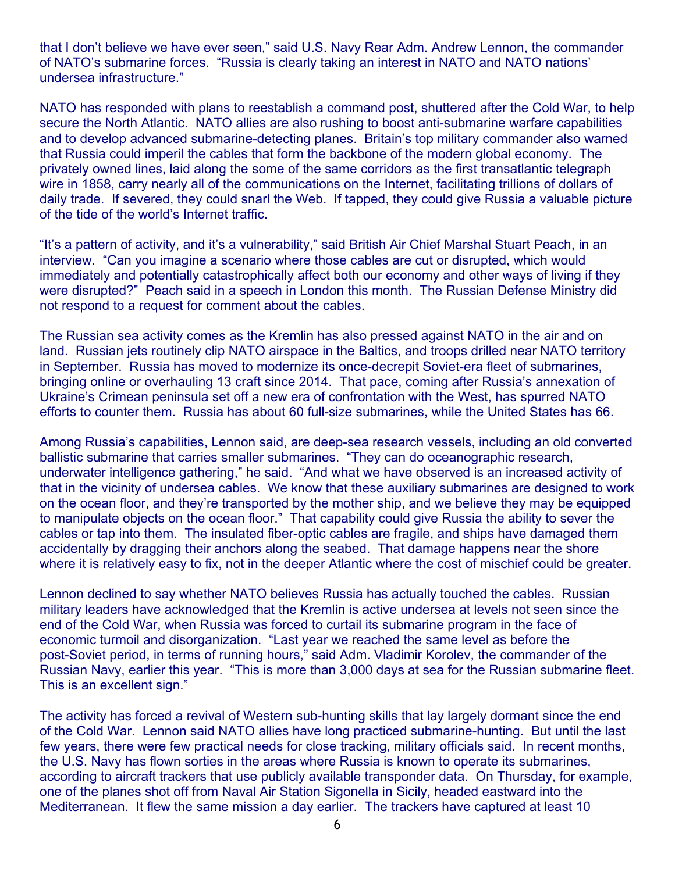that I don't believe we have ever seen," said U.S. Navy Rear Adm. Andrew Lennon, the commander of NATO's submarine forces. "Russia is clearly taking an interest in NATO and NATO nations' undersea infrastructure."

NATO has responded with plans to reestablish a command post, shuttered after the Cold War, to help secure the North Atlantic. NATO allies are also rushing to boost anti-submarine warfare capabilities and to develop advanced submarine-detecting planes. Britain's top military commander also warned that Russia could imperil the cables that form the backbone of the modern global economy. The privately owned lines, laid along the some of the same corridors as the first transatlantic telegraph wire in 1858, carry nearly all of the communications on the Internet, facilitating trillions of dollars of daily trade. If severed, they could snarl the Web. If tapped, they could give Russia a valuable picture of the tide of the world's Internet traffic.

"It's a pattern of activity, and it's a vulnerability," said British Air Chief Marshal Stuart Peach, in an interview. "Can you imagine a scenario where those cables are cut or disrupted, which would immediately and potentially catastrophically affect both our economy and other ways of living if they were disrupted?" Peach said in a speech in London this month. The Russian Defense Ministry did not respond to a request for comment about the cables.

The Russian sea activity comes as the Kremlin has also pressed against NATO in the air and on land. Russian jets routinely clip NATO airspace in the Baltics, and troops drilled near NATO territory in September. Russia has moved to modernize its once-decrepit Soviet-era fleet of submarines, bringing online or overhauling 13 craft since 2014. That pace, coming after Russia's annexation of Ukraine's Crimean peninsula set off a new era of confrontation with the West, has spurred NATO efforts to counter them. Russia has about 60 full-size submarines, while the United States has 66.

Among Russia's capabilities, Lennon said, are deep-sea research vessels, including an old converted ballistic submarine that carries smaller submarines. "They can do oceanographic research, underwater intelligence gathering," he said. "And what we have observed is an increased activity of that in the vicinity of undersea cables. We know that these auxiliary submarines are designed to work on the ocean floor, and they're transported by the mother ship, and we believe they may be equipped to manipulate objects on the ocean floor." That capability could give Russia the ability to sever the cables or tap into them. The insulated fiber-optic cables are fragile, and ships have damaged them accidentally by dragging their anchors along the seabed. That damage happens near the shore where it is relatively easy to fix, not in the deeper Atlantic where the cost of mischief could be greater.

Lennon declined to say whether NATO believes Russia has actually touched the cables. Russian military leaders have acknowledged that the Kremlin is active undersea at levels not seen since the end of the Cold War, when Russia was forced to curtail its submarine program in the face of economic turmoil and disorganization. "Last year we reached the same level as before the post-Soviet period, in terms of running hours," said Adm. Vladimir Korolev, the commander of the Russian Navy, earlier this year. "This is more than 3,000 days at sea for the Russian submarine fleet. This is an excellent sign."

The activity has forced a revival of Western sub-hunting skills that lay largely dormant since the end of the Cold War. Lennon said NATO allies have long practiced submarine-hunting. But until the last few years, there were few practical needs for close tracking, military officials said. In recent months, the U.S. Navy has flown sorties in the areas where Russia is known to operate its submarines, according to aircraft trackers that use publicly available transponder data. On Thursday, for example, one of the planes shot off from Naval Air Station Sigonella in Sicily, headed eastward into the Mediterranean. It flew the same mission a day earlier. The trackers have captured at least 10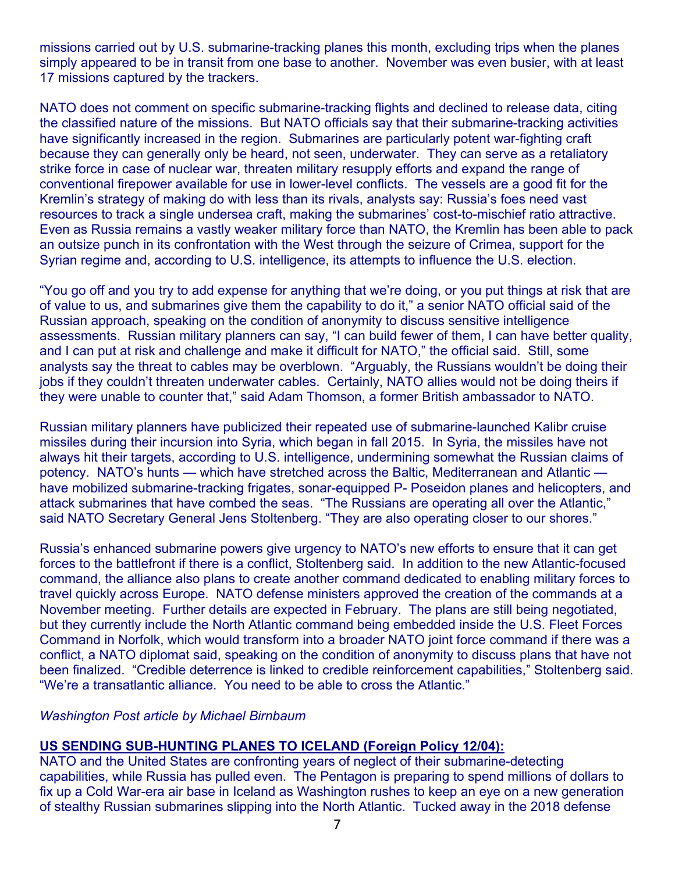missions carried out by U.S. submarine-tracking planes this month, excluding trips when the planes simply appeared to be in transit from one base to another. November was even busier, with at least 17 missions captured by the trackers.

NATO does not comment on specific submarine-tracking flights and declined to release data, citing the classified nature of the missions. But NATO officials say that their submarine-tracking activities have significantly increased in the region. Submarines are particularly potent war-fighting craft because they can generally only be heard, not seen, underwater. They can serve as a retaliatory strike force in case of nuclear war, threaten military resupply efforts and expand the range of conventional firepower available for use in lower-level conflicts. The vessels are a good fit for the Kremlin's strategy of making do with less than its rivals, analysts say: Russia's foes need vast resources to track a single undersea craft, making the submarines' cost-to-mischief ratio attractive. Even as Russia remains a vastly weaker military force than NATO, the Kremlin has been able to pack an outsize punch in its confrontation with the West through the seizure of Crimea, support for the Syrian regime and, according to U.S. intelligence, its attempts to influence the U.S. election.

"You go off and you try to add expense for anything that we're doing, or you put things at risk that are of value to us, and submarines give them the capability to do it," a senior NATO official said of the Russian approach, speaking on the condition of anonymity to discuss sensitive intelligence assessments. Russian military planners can say, "I can build fewer of them, I can have better quality, and I can put at risk and challenge and make it difficult for NATO," the official said. Still, some analysts say the threat to cables may be overblown. "Arguably, the Russians wouldn't be doing their jobs if they couldn't threaten underwater cables. Certainly, NATO allies would not be doing theirs if they were unable to counter that," said Adam Thomson, a former British ambassador to NATO.

Russian military planners have publicized their repeated use of submarine-launched Kalibr cruise missiles during their incursion into Syria, which began in fall 2015. In Syria, the missiles have not always hit their targets, according to U.S. intelligence, undermining somewhat the Russian claims of potency. NATO's hunts — which have stretched across the Baltic, Mediterranean and Atlantic have mobilized submarine-tracking frigates, sonar-equipped P- Poseidon planes and helicopters, and attack submarines that have combed the seas. "The Russians are operating all over the Atlantic," said NATO Secretary General Jens Stoltenberg. "They are also operating closer to our shores."

Russia's enhanced submarine powers give urgency to NATO's new efforts to ensure that it can get forces to the battlefront if there is a conflict, Stoltenberg said. In addition to the new Atlantic-focused command, the alliance also plans to create another command dedicated to enabling military forces to travel quickly across Europe. NATO defense ministers approved the creation of the commands at a November meeting. Further details are expected in February. The plans are still being negotiated, but they currently include the North Atlantic command being embedded inside the U.S. Fleet Forces Command in Norfolk, which would transform into a broader NATO joint force command if there was a conflict, a NATO diplomat said, speaking on the condition of anonymity to discuss plans that have not been finalized. "Credible deterrence is linked to credible reinforcement capabilities," Stoltenberg said. "We're a transatlantic alliance. You need to be able to cross the Atlantic."

#### *Washington Post article by Michael Birnbaum*

#### **US SENDING SUB-HUNTING PLANES TO ICELAND (Foreign Policy 12/04):**

NATO and the United States are confronting years of neglect of their submarine-detecting capabilities, while Russia has pulled even. The Pentagon is preparing to spend millions of dollars to fix up a Cold War-era air base in Iceland as Washington rushes to keep an eye on a new generation of stealthy Russian submarines slipping into the North Atlantic. Tucked away in the 2018 defense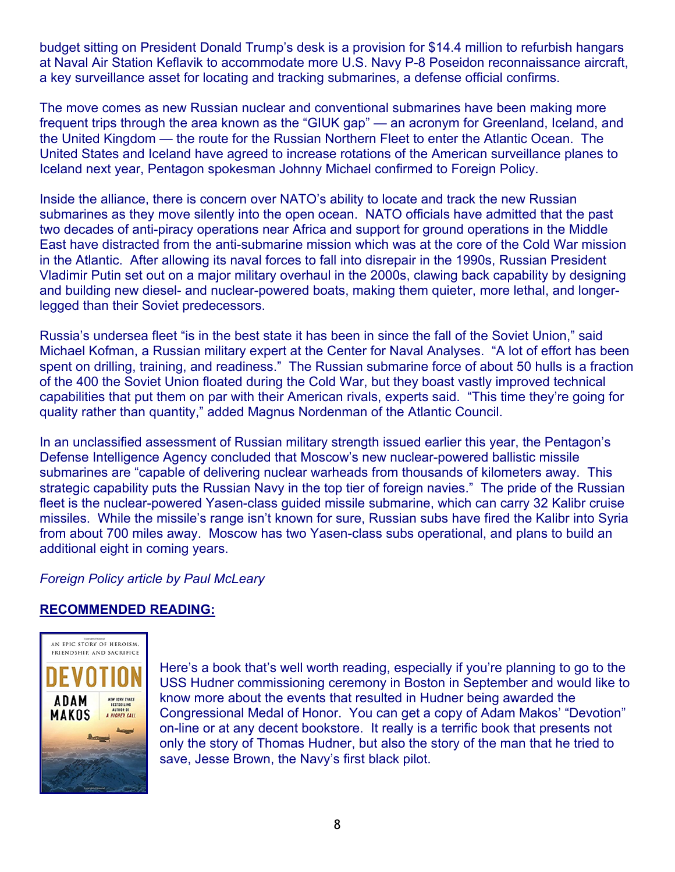budget sitting on President Donald Trump's desk is a provision for \$14.4 million to refurbish hangars at Naval Air Station Keflavik to accommodate more U.S. Navy P-8 Poseidon reconnaissance aircraft, a key surveillance asset for locating and tracking submarines, a defense official confirms.

The move comes as new Russian nuclear and conventional submarines have been making more frequent trips through the area known as the "GIUK gap" — an acronym for Greenland, Iceland, and the United Kingdom — the route for the Russian Northern Fleet to enter the Atlantic Ocean. The United States and Iceland have agreed to increase rotations of the American surveillance planes to Iceland next year, Pentagon spokesman Johnny Michael confirmed to Foreign Policy.

Inside the alliance, there is concern over NATO's ability to locate and track the new Russian submarines as they move silently into the open ocean. NATO officials have admitted that the past two decades of anti-piracy operations near Africa and support for ground operations in the Middle East have distracted from the anti-submarine mission which was at the core of the Cold War mission in the Atlantic. After allowing its naval forces to fall into disrepair in the 1990s, Russian President Vladimir Putin set out on a major military overhaul in the 2000s, clawing back capability by designing and building new diesel- and nuclear-powered boats, making them quieter, more lethal, and longerlegged than their Soviet predecessors.

Russia's undersea fleet "is in the best state it has been in since the fall of the Soviet Union," said Michael Kofman, a Russian military expert at the Center for Naval Analyses. "A lot of effort has been spent on drilling, training, and readiness." The Russian submarine force of about 50 hulls is a fraction of the 400 the Soviet Union floated during the Cold War, but they boast vastly improved technical capabilities that put them on par with their American rivals, experts said. "This time they're going for quality rather than quantity," added Magnus Nordenman of the Atlantic Council.

In an unclassified assessment of Russian military strength issued earlier this year, the Pentagon's Defense Intelligence Agency concluded that Moscow's new nuclear-powered ballistic missile submarines are "capable of delivering nuclear warheads from thousands of kilometers away. This strategic capability puts the Russian Navy in the top tier of foreign navies." The pride of the Russian fleet is the nuclear-powered Yasen-class guided missile submarine, which can carry 32 Kalibr cruise missiles. While the missile's range isn't known for sure, Russian subs have fired the Kalibr into Syria from about 700 miles away. Moscow has two Yasen-class subs operational, and plans to build an additional eight in coming years.

#### *Foreign Policy article by Paul McLeary*

#### **RECOMMENDED READING:**



Here's a book that's well worth reading, especially if you're planning to go to the USS Hudner commissioning ceremony in Boston in September and would like to know more about the events that resulted in Hudner being awarded the Congressional Medal of Honor. You can get a copy of Adam Makos' "Devotion" on-line or at any decent bookstore. It really is a terrific book that presents not only the story of Thomas Hudner, but also the story of the man that he tried to save, Jesse Brown, the Navy's first black pilot.